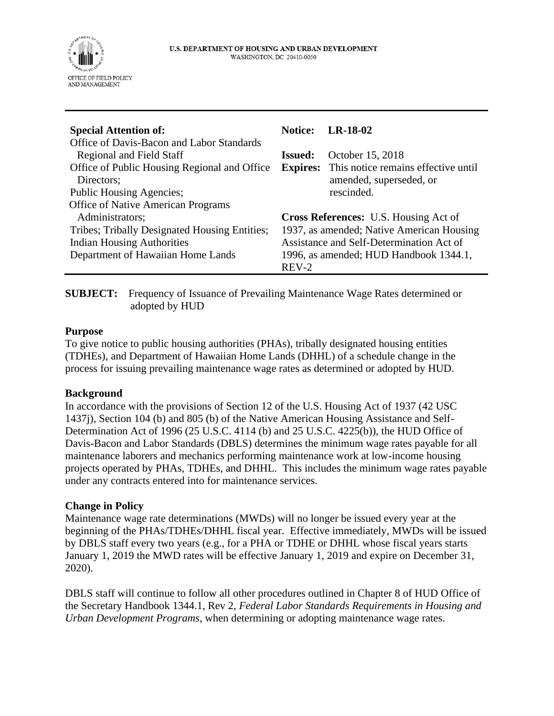

| <b>Special Attention of:</b>                  | <b>Notice:</b>                               | $LR-18-02$                          |
|-----------------------------------------------|----------------------------------------------|-------------------------------------|
| Office of Davis-Bacon and Labor Standards     |                                              |                                     |
| <b>Regional and Field Staff</b>               | <b>Issued:</b>                               | October 15, 2018                    |
| Office of Public Housing Regional and Office  | <b>Expires:</b>                              | This notice remains effective until |
| Directors;                                    |                                              | amended, superseded, or             |
| Public Housing Agencies;                      |                                              | rescinded.                          |
| <b>Office of Native American Programs</b>     |                                              |                                     |
| Administrators;                               | <b>Cross References:</b> U.S. Housing Act of |                                     |
| Tribes; Tribally Designated Housing Entities; | 1937, as amended; Native American Housing    |                                     |
| <b>Indian Housing Authorities</b>             | Assistance and Self-Determination Act of     |                                     |
| Department of Hawaiian Home Lands             | 1996, as amended; HUD Handbook 1344.1,       |                                     |
|                                               | REV-2                                        |                                     |

**SUBJECT:** Frequency of Issuance of Prevailing Maintenance Wage Rates determined or adopted by HUD

## **Purpose**

To give notice to public housing authorities (PHAs), tribally designated housing entities (TDHEs), and Department of Hawaiian Home Lands (DHHL) of a schedule change in the process for issuing prevailing maintenance wage rates as determined or adopted by HUD.

## **Background**

In accordance with the provisions of Section 12 of the U.S. Housing Act of 1937 (42 USC 1437j), Section 104 (b) and 805 (b) of the Native American Housing Assistance and Self-Determination Act of 1996 (25 U.S.C. 4114 (b) and 25 U.S.C. 4225(b)), the HUD Office of Davis-Bacon and Labor Standards (DBLS) determines the minimum wage rates payable for all maintenance laborers and mechanics performing maintenance work at low-income housing projects operated by PHAs, TDHEs, and DHHL. This includes the minimum wage rates payable under any contracts entered into for maintenance services.

## **Change in Policy**

Maintenance wage rate determinations (MWDs) will no longer be issued every year at the beginning of the PHAs/TDHEs/DHHL fiscal year. Effective immediately, MWDs will be issued by DBLS staff every two years (e.g., for a PHA or TDHE or DHHL whose fiscal years starts January 1, 2019 the MWD rates will be effective January 1, 2019 and expire on December 31, 2020).

DBLS staff will continue to follow all other procedures outlined in Chapter 8 of HUD Office of the Secretary Handbook 1344.1, Rev 2, *Federal Labor Standards Requirements in Housing and Urban Development Programs*, when determining or adopting maintenance wage rates.